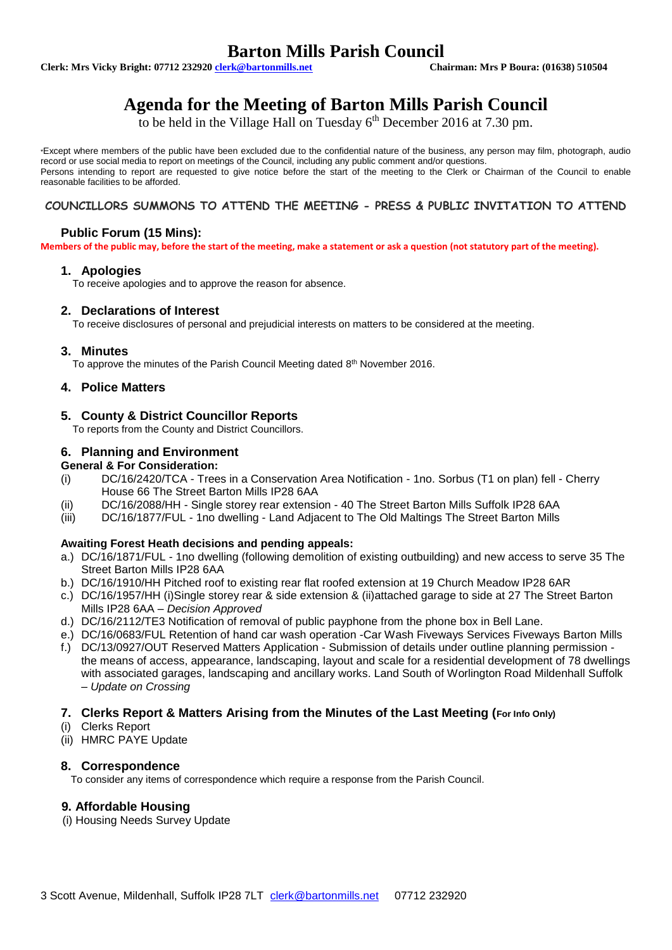# **Barton Mills Parish Council**<br> **Chairman: Mrs P Boura: (01638) 510504**<br>
Chairman: Mrs P Boura: (01638) 510504

**Clerk: Mrs Vicky Bright: 07712 232920 <b>clerk@bartonmills.net** 

# **Agenda for the Meeting of Barton Mills Parish Council**

to be held in the Village Hall on Tuesday  $6^{\text{th}}$  December 2016 at 7.30 pm.

\*Except where members of the public have been excluded due to the confidential nature of the business, any person may film, photograph, audio record or use social media to report on meetings of the Council, including any public comment and/or questions. Persons intending to report are requested to give notice before the start of the meeting to the Clerk or Chairman of the Council to enable reasonable facilities to be afforded.

# **COUNCILLORS SUMMONS TO ATTEND THE MEETING - PRESS & PUBLIC INVITATION TO ATTEND**

# **Public Forum (15 Mins):**

**Members of the public may, before the start of the meeting, make a statement or ask a question (not statutory part of the meeting).**

## **1. Apologies**

To receive apologies and to approve the reason for absence.

## **2. Declarations of Interest**

To receive disclosures of personal and prejudicial interests on matters to be considered at the meeting.

#### **3. Minutes**

To approve the minutes of the Parish Council Meeting dated 8<sup>th</sup> November 2016.

# **4. Police Matters**

## **5. County & District Councillor Reports**

To reports from the County and District Councillors.

# **6. Planning and Environment**

#### **General & For Consideration:**

- (i) DC/16/2420/TCA Trees in a Conservation Area Notification 1no. Sorbus (T1 on plan) fell Cherry House 66 The Street Barton Mills IP28 6AA
- (ii) DC/16/2088/HH Single storey rear extension 40 The Street Barton Mills Suffolk IP28 6AA
- (iii) DC/16/1877/FUL 1no dwelling Land Adjacent to The Old Maltings The Street Barton Mills

#### **Awaiting Forest Heath decisions and pending appeals:**

- a.) DC/16/1871/FUL 1no dwelling (following demolition of existing outbuilding) and new access to serve 35 The Street Barton Mills IP28 6AA
- b.) DC/16/1910/HH Pitched roof to existing rear flat roofed extension at 19 Church Meadow IP28 6AR
- c.) DC/16/1957/HH (i)Single storey rear & side extension & (ii)attached garage to side at 27 The Street Barton Mills IP28 6AA – *Decision Approved*
- d.) DC/16/2112/TE3 Notification of removal of public payphone from the phone box in Bell Lane.
- e.) DC/16/0683/FUL Retention of hand car wash operation -Car Wash Fiveways Services Fiveways Barton Mills
- f.) DC/13/0927/OUT Reserved Matters Application Submission of details under outline planning permission the means of access, appearance, landscaping, layout and scale for a residential development of 78 dwellings with associated garages, landscaping and ancillary works. Land South of Worlington Road Mildenhall Suffolk – *Update on Crossing*

# **7. Clerks Report & Matters Arising from the Minutes of the Last Meeting (For Info Only)**

#### (i) Clerks Report

(ii) HMRC PAYE Update

#### **8. Correspondence**

To consider any items of correspondence which require a response from the Parish Council.

# **9. Affordable Housing**

(i) Housing Needs Survey Update